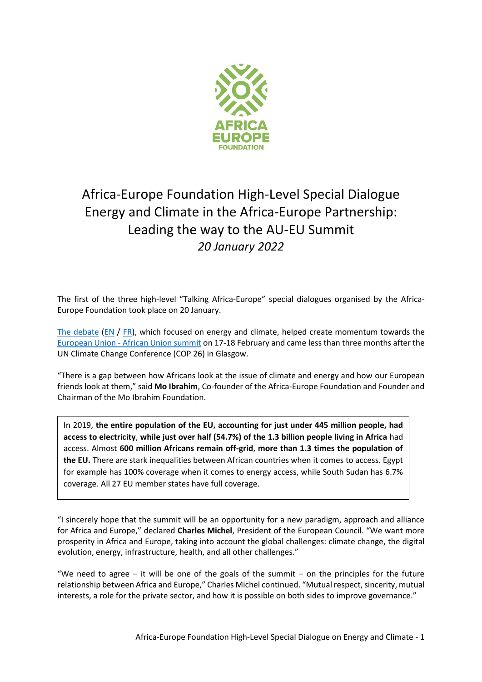

# Africa-Europe Foundation High-Level Special Dialogue Energy and Climate in the Africa-Europe Partnership: Leading the way to the AU-EU Summit *20 January 2022*

The first of the three high-level "Talking Africa-Europe" special dialogues organised by the Africa-Europe Foundation took place on 20 January.

The [debate](https://www.friendsofeurope.org/events/climate-and-energy-in-the-africa-europe-partnership-leading-the-way-to-the-au-eu-summit/) [\(EN](https://www.youtube.com/watch?v=WTOWyQusHpc&t=3201s&ab_channel=FriendsofEurope) / [FR\)](https://www.youtube.com/watch?v=tynORY-iJwc&t=2755s&ab_channel=FriendsofEurope), which focused on energy and climate, helped create momentum towards the European Union - [African Union summit](https://www.consilium.europa.eu/en/meetings/international-summit/2022/02/17-18/) on 17-18 February and came less than three months after the UN Climate Change Conference (COP 26) in Glasgow.

"There is a gap between how Africans look at the issue of climate and energy and how our European friends look at them," said **Mo Ibrahim**, Co-founder of the Africa-Europe Foundation and Founder and Chairman of the Mo Ibrahim Foundation.

In 2019, **the entire population of the EU, accounting for just under 445 million people, had access to electricity**, **while just over half (54.7%) of the 1.3 billion people living in Africa** had access. Almost **600 million Africans remain off-grid**, **more than 1.3 times the population of the EU.** There are stark inequalities between African countries when it comes to access. Egypt for example has 100% coverage when it comes to energy access, while South Sudan has 6.7% coverage. All 27 EU member states have full coverage.

"I sincerely hope that the summit will be an opportunity for a new paradigm, approach and alliance for Africa and Europe," declared **Charles Michel**, President of the European Council. "We want more prosperity in Africa and Europe, taking into account the global challenges: climate change, the digital evolution, energy, infrastructure, health, and all other challenges."

"We need to agree  $-$  it will be one of the goals of the summit  $-$  on the principles for the future relationship between Africa and Europe," Charles Michel continued. "Mutual respect, sincerity, mutual interests, a role for the private sector, and how it is possible on both sides to improve governance."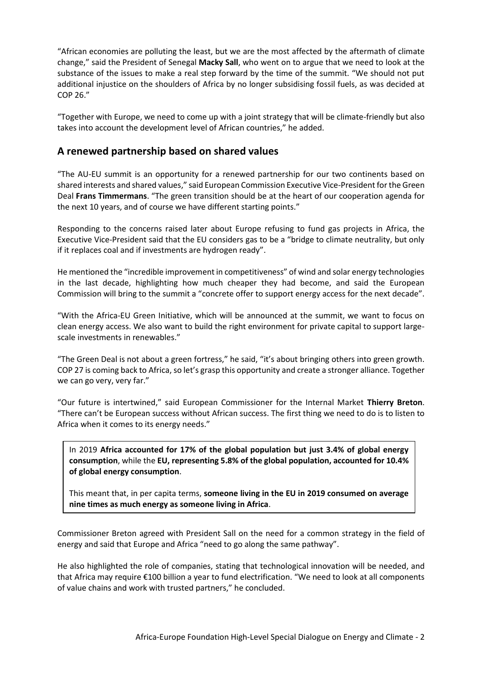"African economies are polluting the least, but we are the most affected by the aftermath of climate change," said the President of Senegal **Macky Sall**, who went on to argue that we need to look at the substance of the issues to make a real step forward by the time of the summit. "We should not put additional injustice on the shoulders of Africa by no longer subsidising fossil fuels, as was decided at COP 26."

"Together with Europe, we need to come up with a joint strategy that will be climate-friendly but also takes into account the development level of African countries," he added.

#### **A renewed partnership based on shared values**

"The AU-EU summit is an opportunity for a renewed partnership for our two continents based on shared interests and shared values," said European Commission Executive Vice-President for the Green Deal **Frans Timmermans**. "The green transition should be at the heart of our cooperation agenda for the next 10 years, and of course we have different starting points."

Responding to the concerns raised later about Europe refusing to fund gas projects in Africa, the Executive Vice-President said that the EU considers gas to be a "bridge to climate neutrality, but only if it replaces coal and if investments are hydrogen ready".

He mentioned the "incredible improvement in competitiveness" of wind and solar energy technologies in the last decade, highlighting how much cheaper they had become, and said the European Commission will bring to the summit a "concrete offer to support energy access for the next decade".

"With the Africa-EU Green Initiative, which will be announced at the summit, we want to focus on clean energy access. We also want to build the right environment for private capital to support largescale investments in renewables."

"The Green Deal is not about a green fortress," he said, "it's about bringing others into green growth. COP 27 is coming back to Africa, so let's grasp this opportunity and create a stronger alliance. Together we can go very, very far."

"Our future is intertwined," said European Commissioner for the Internal Market **Thierry Breton**. "There can't be European success without African success. The first thing we need to do is to listen to Africa when it comes to its energy needs."

In 2019 **Africa accounted for 17% of the global population but just 3.4% of global energy consumption**, while the **EU, representing 5.8% of the global population, accounted for 10.4% of global energy consumption**.

This meant that, in per capita terms, **someone living in the EU in 2019 consumed on average nine times as much energy as someone living in Africa**.

Commissioner Breton agreed with President Sall on the need for a common strategy in the field of energy and said that Europe and Africa "need to go along the same pathway".

He also highlighted the role of companies, stating that technological innovation will be needed, and that Africa may require €100 billion a year to fund electrification. "We need to look at all components of value chains and work with trusted partners," he concluded.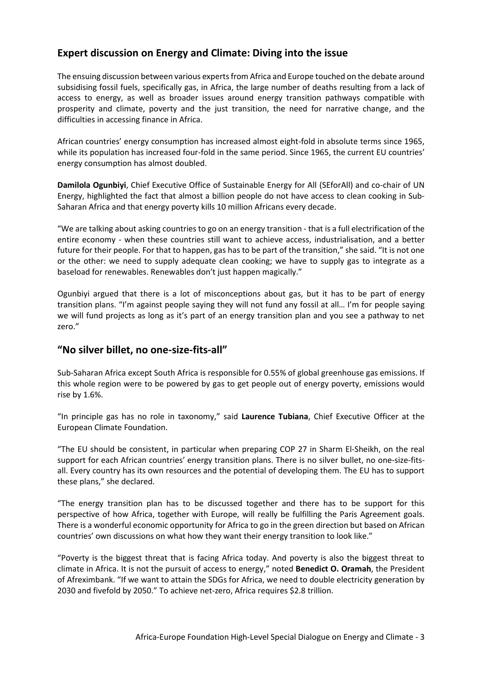## **Expert discussion on Energy and Climate: Diving into the issue**

The ensuing discussion between various experts from Africa and Europe touched on the debate around subsidising fossil fuels, specifically gas, in Africa, the large number of deaths resulting from a lack of access to energy, as well as broader issues around energy transition pathways compatible with prosperity and climate, poverty and the just transition, the need for narrative change, and the difficulties in accessing finance in Africa.

African countries' energy consumption has increased almost eight-fold in absolute terms since 1965, while its population has increased four-fold in the same period. Since 1965, the current EU countries' energy consumption has almost doubled.

**Damilola Ogunbiyi**, Chief Executive Office of Sustainable Energy for All (SEforAll) and co-chair of UN Energy, highlighted the fact that almost a billion people do not have access to clean cooking in Sub-Saharan Africa and that energy poverty kills 10 million Africans every decade.

"We are talking about asking countries to go on an energy transition - that is a full electrification of the entire economy - when these countries still want to achieve access, industrialisation, and a better future for their people. For that to happen, gas has to be part of the transition," she said. "It is not one or the other: we need to supply adequate clean cooking; we have to supply gas to integrate as a baseload for renewables. Renewables don't just happen magically."

Ogunbiyi argued that there is a lot of misconceptions about gas, but it has to be part of energy transition plans. "I'm against people saying they will not fund any fossil at all… I'm for people saying we will fund projects as long as it's part of an energy transition plan and you see a pathway to net zero."

#### **"No silver billet, no one-size-fits-all"**

Sub-Saharan Africa except South Africa is responsible for 0.55% of global greenhouse gas emissions. If this whole region were to be powered by gas to get people out of energy poverty, emissions would rise by 1.6%.

"In principle gas has no role in taxonomy," said **Laurence Tubiana**, Chief Executive Officer at the European Climate Foundation.

"The EU should be consistent, in particular when preparing COP 27 in Sharm El-Sheikh, on the real support for each African countries' energy transition plans. There is no silver bullet, no one-size-fitsall. Every country has its own resources and the potential of developing them. The EU has to support these plans," she declared.

"The energy transition plan has to be discussed together and there has to be support for this perspective of how Africa, together with Europe, will really be fulfilling the Paris Agreement goals. There is a wonderful economic opportunity for Africa to go in the green direction but based on African countries' own discussions on what how they want their energy transition to look like."

"Poverty is the biggest threat that is facing Africa today. And poverty is also the biggest threat to climate in Africa. It is not the pursuit of access to energy," noted **Benedict O. Oramah**, the President of Afreximbank. "If we want to attain the SDGs for Africa, we need to double electricity generation by 2030 and fivefold by 2050." To achieve net-zero, Africa requires \$2.8 trillion.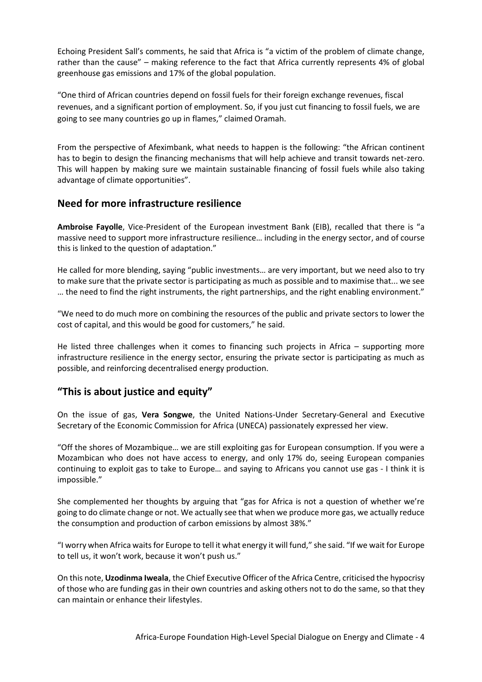Echoing President Sall's comments, he said that Africa is "a victim of the problem of climate change, rather than the cause" – making reference to the fact that Africa currently represents 4% of global greenhouse gas emissions and 17% of the global population.

"One third of African countries depend on fossil fuels for their foreign exchange revenues, fiscal revenues, and a significant portion of employment. So, if you just cut financing to fossil fuels, we are going to see many countries go up in flames," claimed Oramah.

From the perspective of Afeximbank, what needs to happen is the following: "the African continent has to begin to design the financing mechanisms that will help achieve and transit towards net-zero. This will happen by making sure we maintain sustainable financing of fossil fuels while also taking advantage of climate opportunities".

#### **Need for more infrastructure resilience**

**Ambroise Fayolle**, Vice-President of the European investment Bank (EIB), recalled that there is "a massive need to support more infrastructure resilience… including in the energy sector, and of course this is linked to the question of adaptation."

He called for more blending, saying "public investments… are very important, but we need also to try to make sure that the private sector is participating as much as possible and to maximise that... we see … the need to find the right instruments, the right partnerships, and the right enabling environment."

"We need to do much more on combining the resources of the public and private sectors to lower the cost of capital, and this would be good for customers," he said.

He listed three challenges when it comes to financing such projects in Africa – supporting more infrastructure resilience in the energy sector, ensuring the private sector is participating as much as possible, and reinforcing decentralised energy production.

### **"This is about justice and equity"**

On the issue of gas, **Vera Songwe**, the United Nations-Under Secretary-General and Executive Secretary of the Economic Commission for Africa (UNECA) passionately expressed her view.

"Off the shores of Mozambique… we are still exploiting gas for European consumption. If you were a Mozambican who does not have access to energy, and only 17% do, seeing European companies continuing to exploit gas to take to Europe… and saying to Africans you cannot use gas - I think it is impossible."

She complemented her thoughts by arguing that "gas for Africa is not a question of whether we're going to do climate change or not. We actually see that when we produce more gas, we actually reduce the consumption and production of carbon emissions by almost 38%."

"I worry when Africa waits for Europe to tell it what energy it will fund," she said. "If we wait for Europe to tell us, it won't work, because it won't push us."

On this note, **Uzodinma Iweala**, the Chief Executive Officer of the Africa Centre, criticised the hypocrisy of those who are funding gas in their own countries and asking others not to do the same, so that they can maintain or enhance their lifestyles.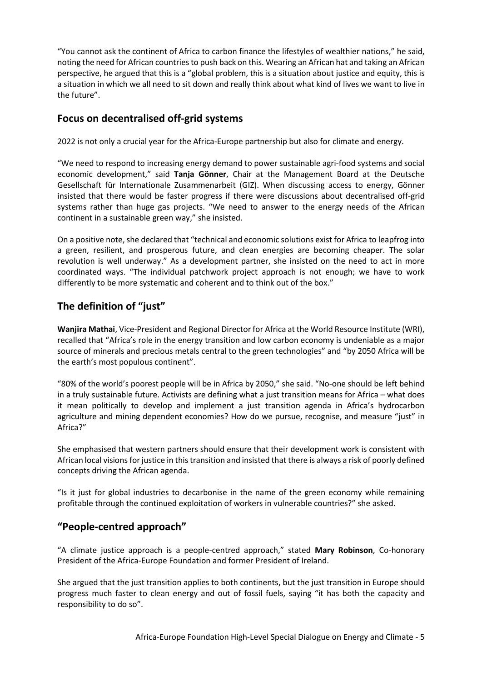"You cannot ask the continent of Africa to carbon finance the lifestyles of wealthier nations," he said, noting the need for African countries to push back on this. Wearing an African hat and taking an African perspective, he argued that this is a "global problem, this is a situation about justice and equity, this is a situation in which we all need to sit down and really think about what kind of lives we want to live in the future".

## **Focus on decentralised off-grid systems**

2022 is not only a crucial year for the Africa-Europe partnership but also for climate and energy.

"We need to respond to increasing energy demand to power sustainable agri-food systems and social economic development," said **Tanja Gönner**, Chair at the Management Board at the Deutsche Gesellschaft für Internationale Zusammenarbeit (GIZ). When discussing access to energy, Gönner insisted that there would be faster progress if there were discussions about decentralised off-grid systems rather than huge gas projects. "We need to answer to the energy needs of the African continent in a sustainable green way," she insisted.

On a positive note, she declared that "technical and economic solutions exist for Africa to leapfrog into a green, resilient, and prosperous future, and clean energies are becoming cheaper. The solar revolution is well underway." As a development partner, she insisted on the need to act in more coordinated ways. "The individual patchwork project approach is not enough; we have to work differently to be more systematic and coherent and to think out of the box."

# **The definition of "just"**

**Wanjira Mathai**, Vice-President and Regional Director for Africa at the World Resource Institute (WRI), recalled that "Africa's role in the energy transition and low carbon economy is undeniable as a major source of minerals and precious metals central to the green technologies" and "by 2050 Africa will be the earth's most populous continent".

"80% of the world's poorest people will be in Africa by 2050," she said. "No-one should be left behind in a truly sustainable future. Activists are defining what a just transition means for Africa – what does it mean politically to develop and implement a just transition agenda in Africa's hydrocarbon agriculture and mining dependent economies? How do we pursue, recognise, and measure "just" in Africa?"

She emphasised that western partners should ensure that their development work is consistent with African local visions for justice in this transition and insisted that there is always a risk of poorly defined concepts driving the African agenda.

"Is it just for global industries to decarbonise in the name of the green economy while remaining profitable through the continued exploitation of workers in vulnerable countries?" she asked.

## **"People-centred approach"**

"A climate justice approach is a people-centred approach," stated **Mary Robinson**, Co-honorary President of the Africa-Europe Foundation and former President of Ireland.

She argued that the just transition applies to both continents, but the just transition in Europe should progress much faster to clean energy and out of fossil fuels, saying "it has both the capacity and responsibility to do so".